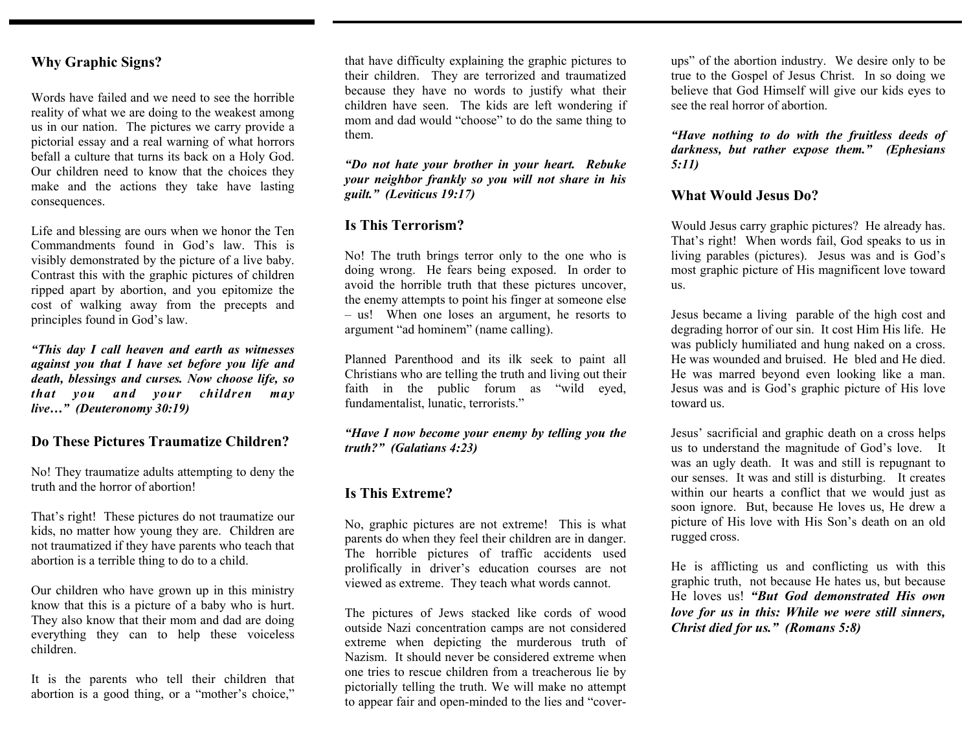#### **Why Graphic Signs?**

Words have failed and we need to see the horrible reality of what we are doing to the weakest among us in our nation. The pictures we carry provide a pictorial essay and a real warning of what horrors befall a culture that turns its back on a Holy God. Our children need to know that the choices they make and the actions they take have lasting consequences.

Life and blessing are ours when we honor the Ten Commandments found in God's law. This is visibly demonstrated by the picture of a live baby. Contrast this with the graphic pictures of children ripped apart by abortion, and you epitomize the cost of walking away from the precepts and principles found in God's law.

*"This day I call heaven and earth as witnesses against you that I have set before you life and death, blessings and curses. Now choose life, so that you and your children may live…" (Deuteronomy 30:19)* 

#### **Do These Pictures Traumatize Children?**

No! They traumatize adults attempting to deny the truth and the horror of abortion!

That's right! These pictures do not traumatize our kids, no matter how young they are. Children are not traumatized if they have parents who teach that abortion is a terrible thing to do to a child.

Our children who have grown up in this ministry know that this is a picture of a baby who is hurt. They also know that their mom and dad are doing everything they can to help these voiceless children.

It is the parents who tell their children that abortion is a good thing, or a "mother's choice,"

that have difficulty explaining the graphic pictures to their children. They are terrorized and traumatized because they have no words to justify what their children have seen. The kids are left wondering if mom and dad would "choose" to do the same thing to them.

*"Do not hate your brother in your heart. Rebuke your neighbor frankly so you will not share in his guilt." (Leviticus 19:17)*

#### **Is This Terrorism?**

No! The truth brings terror only to the one who is doing wrong. He fears being exposed. In order to avoid the horrible truth that these pictures uncover, the enemy attempts to point his finger at someone else – us! When one loses an argument, he resorts to argument "ad hominem" (name calling).

Planned Parenthood and its ilk seek to paint all Christians who are telling the truth and living out their faith in the public forum as "wild eyed, fundamentalist, lunatic, terrorists."

*"Have I now become your enemy by telling you the truth?" (Galatians 4:23)*

#### **Is This Extreme?**

No, graphic pictures are not extreme! This is what parents do when they feel their children are in danger. The horrible pictures of traffic accidents used prolifically in driver's education courses are not viewed as extreme. They teach what words cannot.

The pictures of Jews stacked like cords of wood outside Nazi concentration camps are not considered extreme when depicting the murderous truth of Nazism. It should never be considered extreme when one tries to rescue children from a treacherous lie by pictorially telling the truth. We will make no attempt to appear fair and open-minded to the lies and "coverups" of the abortion industry. We desire only to be true to the Gospel of Jesus Christ. In so doing we believe that God Himself will give our kids eyes to see the real horror of abortion.

*"Have nothing to do with the fruitless deeds of darkness, but rather expose them." (Ephesians 5:11)* 

#### **What Would Jesus Do?**

Would Jesus carry graphic pictures? He already has. That's right! When words fail, God speaks to us in living parables (pictures). Jesus was and is God's most graphic picture of His magnificent love toward us.

Jesus became a living parable of the high cost and degrading horror of our sin. It cost Him His life. He was publicly humiliated and hung naked on a cross. He was wounded and bruised. He bled and He died. He was marred beyond even looking like a man. Jesus was and is God's graphic picture of His love toward us.

Jesus' sacrificial and graphic death on a cross helps us to understand the magnitude of God's love. It was an ugly death. It was and still is repugnant to our senses. It was and still is disturbing. It creates within our hearts a conflict that we would just as soon ignore. But, because He loves us, He drew a picture of His love with His Son's death on an old rugged cross.

He is afflicting us and conflicting us with this graphic truth, not because He hates us, but because He loves us! *"But God demonstrated His own love for us in this: While we were still sinners, Christ died for us." (Romans 5:8)*